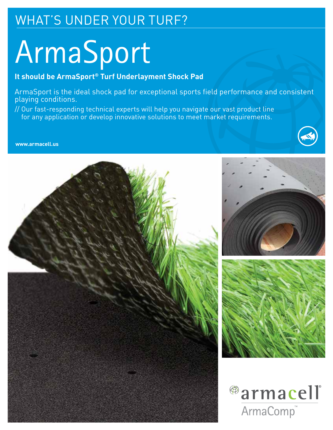# WHAT'S UNDER YOUR TURF?

# ArmaSport

# **It should be ArmaSport® Turf Underlayment Shock Pad**

ArmaSport is the ideal shock pad for exceptional sports field performance and consistent playing conditions.

// Our fast-responding technical experts will help you navigate our vast product line for any application or develop innovative solutions to meet market requirements.



**www.armacell.us**

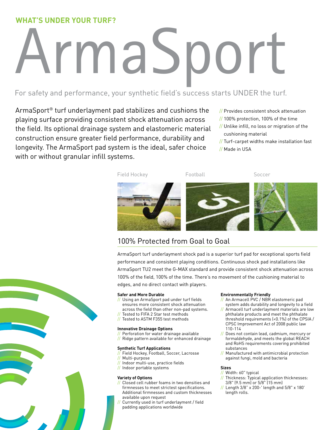# **WHAT'S UNDER YOUR TURF?**

# ArmaSport

## For safety and performance, your synthetic field's success starts UNDER the turf.

ArmaSport® turf underlayment pad stabilizes and cushions the playing surface providing consistent shock attenuation across the field. Its optional drainage system and elastomeric material construction ensure greater field performance, durability and longevity. The ArmaSport pad system is the ideal, safer choice with or without granular infill systems.

- // Provides consistent shock attenuation
- // 100% protection, 100% of the time
- // Unlike infill, no loss or migration of the cushioning material
- // Turf-carpet widths make installation fast
- // Made in USA



# 100% Protected from Goal to Goal

ArmaSport turf underlayment shock pad is a superior turf pad for exceptional sports field performance and consistent playing conditions. Continuous shock pad installations like ArmaSport TU2 meet the G-MAX standard and provide consistent shock attenuation across 100% of the field, 100% of the time. There's no movement of the cushioning material to edges, and no direct contact with players.

#### **Safer and More Durable**

- // Using an ArmaSport pad under turf fields ensures more consistent shock attenuation across the field than other non-pad systems.
- Tested to FIFA 2 Star test methods
- // Tested to ASTM F355 test methods

#### **Innovative Drainage Options**

Perforation for water drainage available // Ridge pattern available for enhanced drainage

#### **Synthetic Turf Applications**

- Field Hockey, Football, Soccer, Lacrosse
- Multi-purpose
- // Indoor multi-use, practice fields
- // Indoor portable systems

#### **Variety of Options**

- // Closed cell rubber foams in two densities and firmnesses to meet strictest specifications. Additional firmnesses and custom thicknesses available upon request
- // Currently used in turf underlayment / field padding applications worldwide

#### **Environmentally Friendly**

- An Armacell PVC / NBR elastomeric pad system adds durability and longevity to a field
- Armacell turf underlayment materials are low phthalate products and meet the phthalate threshold requirements (<0.1%) of the CPSIA / CPSC Improvement Act of 2008 public law 110-114
- // Does not contain lead, cadmium, mercury or formaldehyde, and meets the global REACH and RoHS requirements covering prohibited substances
- // Manufactured with antimicrobial protection against fungi, mold and bacteria

#### **Sizes**

- // Width: 60" typical<br>// Thickness: Typical
- Thickness: Typical application thicknesses: 3/8" (9.5 mm) or 5/8" (15 mm)
- // Length 3/8" x 200-' length and 5/8" x 180' length rolls.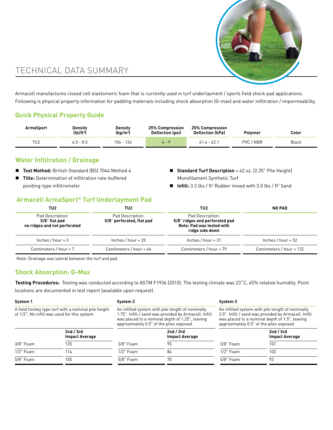

# TECHNICAL DATA SUMMARY

Armacell manufactures closed cell elastomeric foam that is currently used in turf underlayment / sports field shock pad applications. Following is physical property information for padding materials including shock absorption (G-max) and water infiltration / impermeability.

#### **Quick Physical Property Guide**

| <b>ArmaSport</b> | Density<br>$(lb/ft^3)$ | Density<br>(kg/m <sup>3</sup> ) | 25% Compression<br><b>Deflection (psi)</b> | 25% Compression<br><b>Deflection (kPa)</b> | Polvmer   | Color |
|------------------|------------------------|---------------------------------|--------------------------------------------|--------------------------------------------|-----------|-------|
| TU <sub>2</sub>  | $6.5 - 8.5$            | 136<br>104 -                    |                                            | $41.4 - 62.$                               | PVC / NBR | Black |

## **Water Infiltration / Drainage**

- **Test Method:** British Standard (BS) 7044 Method 4
- Title: Determination of infiltration rate-buffered ponding-type infiltrometer
- **Standard Turf Description** = 42 oz. (2.25" Pile Height) Monofilament Synthetic Turf
- Infill: 3.3 lbs / ft<sup>2</sup> Rubber mixed with 3.0 lbs / ft<sup>2</sup> Sand

#### **Armacell ArmaSport® Turf Underlayment Pad**

| TU <sub>2</sub>                                                   | TU2                                           | TU2                                                                                                | <b>NO PAD</b>            |  |
|-------------------------------------------------------------------|-----------------------------------------------|----------------------------------------------------------------------------------------------------|--------------------------|--|
| Pad Description:<br>5/8" flat pad<br>no ridges and not perforated | Pad Description:<br>5/8" perforated, flat pad | Pad Description:<br>5/8" ridges and perforated pad<br>Note: Pad was tested with<br>ridge side down |                          |  |
| Inches / hour = $3$                                               | Inches / hour = $25$                          | Inches $/$ hour = 31                                                                               | Inches / hour = $52$     |  |
| Centimeters / hour = $7$                                          | Centimeters / hour = $64$                     | Centimeters / hour = 79                                                                            | Centimeters / hour = 132 |  |

Note: Drainage was lateral between the turf and pad

#### **Shock Absorption: G-Max**

**Testing Procedures:** Testing was conducted according to ASTM F1936 (2015). The testing climate was 23˚C, 45% relative humidity. Point locations are documented in test report (available upon request).

| System 1<br>System 2                                                                                |                                                                                                                                                                                                          | System 3                                                                                                                                                                                               |                                    |  |
|-----------------------------------------------------------------------------------------------------|----------------------------------------------------------------------------------------------------------------------------------------------------------------------------------------------------------|--------------------------------------------------------------------------------------------------------------------------------------------------------------------------------------------------------|------------------------------------|--|
| A field hockey type turf with a nominal pile height<br>of 1/2". No infill was used for this system. | An infilled system with pile length of nominally<br>1.75". Infill / sand was provided by Armacell. Infill<br>was placed to a nominal depth of 1.25", leaving<br>approximately 0.5" of the piles exposed. | An infilled system with pile length of nominally<br>2.0". Infill / sand was provided by Armacell. Infill<br>was placed to a nominal depth of 1.5", leaving<br>approximately 0.5" of the piles exposed. |                                    |  |
| 2nd $/$ 3rd<br><b>Impact Average</b>                                                                | 2nd / 3rd<br><b>Impact Average</b>                                                                                                                                                                       |                                                                                                                                                                                                        | 2nd / 3rd<br><b>Impact Average</b> |  |
| 135<br>3/8" Foam<br>$3/8"$ Foam                                                                     | 95                                                                                                                                                                                                       | $3/8"$ Foam                                                                                                                                                                                            | 101                                |  |
| $1/2$ " Foam<br>$1/2$ " Foam<br>114                                                                 | 84                                                                                                                                                                                                       | $1/2$ " Foam                                                                                                                                                                                           | 102                                |  |
| 5/8" Foam<br>$5/8$ " Foam<br>105                                                                    | 70                                                                                                                                                                                                       | $5/8$ " Foam                                                                                                                                                                                           | 93                                 |  |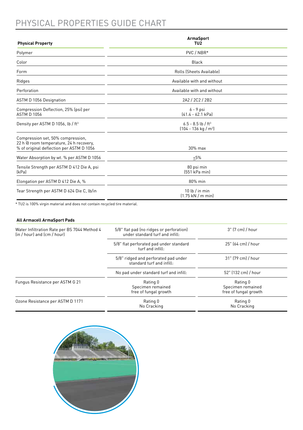# PHYSICAL PROPERTIES GUIDE CHART

| <b>Physical Property</b>                                                                                                 | <b>ArmaSport</b><br>TU <sub>2</sub>                                       |  |  |
|--------------------------------------------------------------------------------------------------------------------------|---------------------------------------------------------------------------|--|--|
| Polymer                                                                                                                  | PVC / NBR*                                                                |  |  |
| Color                                                                                                                    | <b>Black</b>                                                              |  |  |
| Form                                                                                                                     | Rolls (Sheets Available)                                                  |  |  |
| Ridges                                                                                                                   | Available with and without                                                |  |  |
| Perforation                                                                                                              | Available with and without                                                |  |  |
| <b>ASTM D 1056 Designation</b>                                                                                           | 2A2 / 2C2 / 2B2                                                           |  |  |
| Compression Deflection, 25% (psi) per<br><b>ASTM D 1056</b>                                                              | $6 - 9$ psi<br>$[41.4 - 62.1 kPa]$                                        |  |  |
| Density per ASTM D 1056, lb / ft <sup>3</sup>                                                                            | $6.5 - 8.5$ lb / ft <sup>3</sup><br>$(104 - 136 \text{ kg} / \text{m}^3)$ |  |  |
| Compression set, 50% compression,<br>22 h @ room temperature, 24 h recovery,<br>% of original deflection per ASTM D 1056 | 30% max                                                                   |  |  |
| Water Absorption by wt. % per ASTM D 1056                                                                                | 5%                                                                        |  |  |
| Tensile Strength per ASTM D 412 Die A, psi<br>[kPa]                                                                      | 80 psi min<br>(551 kPa min)                                               |  |  |
| Elongation per ASTM D 412 Die A, %                                                                                       | 80% min                                                                   |  |  |
| Tear Strength per ASTM D 624 Die C, lb/in                                                                                | 10 lb $/$ in min<br>$(1.75 \text{ kN} / \text{m min})$                    |  |  |

\* TU2 is 100% virgin material and does not contain recycled tire material.

#### **All Armacell ArmaSport Pads**

| Water Infiltration Rate per BS 7044 Method 4<br>(in / hour) and (cm / hour) | 5/8" flat pad (no ridges or perforation)<br>under standard turf and infill: | 3" (7 cm) / hour                                       |  |
|-----------------------------------------------------------------------------|-----------------------------------------------------------------------------|--------------------------------------------------------|--|
|                                                                             | 5/8" flat perforated pad under standard<br>turf and infill:                 | 25" (64 cm) / hour                                     |  |
|                                                                             | 5/8" ridged and perforated pad under<br>standard turf and infill:           | 31" [79 cm] / hour                                     |  |
|                                                                             | No pad under standard turf and infill:                                      | 52" (132 cm) / hour                                    |  |
| Fungus Resistance per ASTM G 21                                             | Rating 0<br>Specimen remained<br>free of fungal growth                      | Rating 0<br>Specimen remained<br>free of fungal growth |  |
| Ozone Resistance per ASTM D 1171                                            | Rating 0<br>No Cracking                                                     | Rating 0<br>No Cracking                                |  |

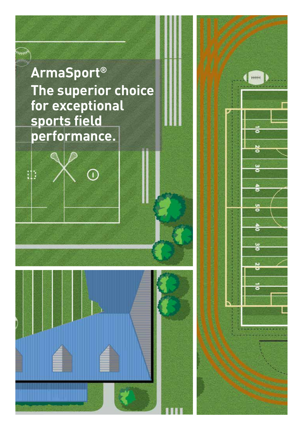

 $\rm \odot$ 

تېرىرىر

:۱: